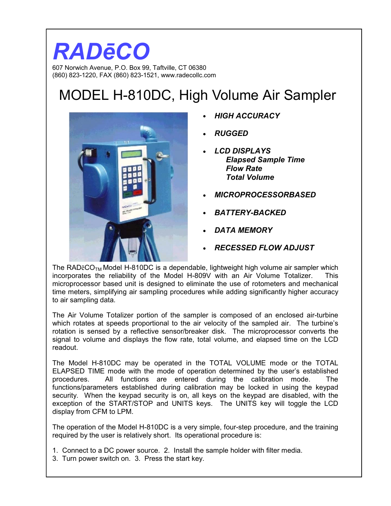## *RADēCO*  607 Norwich Avenue, P.O. Box 99, Taftville, CT 06380

(860) 823-1220, FAX (860) 823-1521, www.radecollc.com

## MODEL H-810DC, High Volume Air Sampler



- *HIGH ACCURACY*
- *RUGGED*
- *LCD DISPLAYS Elapsed Sample Time Flow Rate Total Volume*
- *MICROPROCESSORBASED*
- *BATTERY-BACKED*
- *DATA MEMORY*
- *RECESSED FLOW ADJUST*

The RAD $\bar{e}CO_{TM}$  Model H-810DC is a dependable, lightweight high volume air sampler which incorporates the reliability of the Model H-809V with an Air Volume Totalizer. This microprocessor based unit is designed to eliminate the use of rotometers and mechanical time meters, simplifying air sampling procedures while adding significantly higher accuracy to air sampling data.

The Air Volume Totalizer portion of the sampler is composed of an enclosed air-turbine which rotates at speeds proportional to the air velocity of the sampled air. The turbine's rotation is sensed by a reflective sensor/breaker disk. The microprocessor converts the signal to volume and displays the flow rate, total volume, and elapsed time on the LCD readout.

The Model H-810DC may be operated in the TOTAL VOLUME mode or the TOTAL ELAPSED TIME mode with the mode of operation determined by the user's established procedures. All functions are entered during the calibration mode. The functions/parameters established during calibration may be locked in using the keypad security. When the keypad security is on, all keys on the keypad are disabled, with the exception of the START/STOP and UNITS keys. The UNITS key will toggle the LCD display from CFM to LPM.

The operation of the Model H-810DC is a very simple, four-step procedure, and the training required by the user is relatively short. Its operational procedure is:

- 1. Connect to a DC power source. 2. Install the sample holder with filter media.
- 3. Turn power switch on. 3. Press the start key.